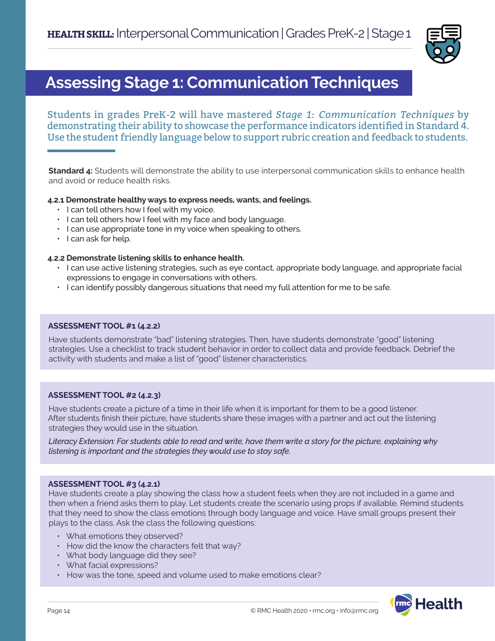

### **Assessing Stage 1: Communication Techniques**

Students in grades PreK-2 will have mastered *Stage 1: Communication Techniques* by demonstrating their ability to showcase the performance indicators identified in Standard 4. Use the student friendly language below to support rubric creation and feedback to students.

**Standard 4:** Students will demonstrate the ability to use interpersonal communication skills to enhance health and avoid or reduce health risks.

### **4.2.1 Demonstrate healthy ways to express needs, wants, and feelings.**

- I can tell others how I feel with my voice.
- I can tell others how I feel with my face and body language.
- I can use appropriate tone in my voice when speaking to others.
- I can ask for help.

### **4.2.2 Demonstrate listening skills to enhance health.**

- I can use active listening strategies, such as eye contact, appropriate body language, and appropriate facial expressions to engage in conversations with others.
- I can identify possibly dangerous situations that need my full attention for me to be safe.

### **ASSESSMENT TOOL #1 (4.2.2)**

Have students demonstrate "bad" listening strategies. Then, have students demonstrate "good" listening strategies. Use a checklist to track student behavior in order to collect data and provide feedback. Debrief the activity with students and make a list of "good" listener characteristics.

### **ASSESSMENT TOOL #2 (4.2.3)**

Have students create a picture of a time in their life when it is important for them to be a good listener. After students finish their picture, have students share these images with a partner and act out the listening strategies they would use in the situation.

*Literacy Extension: For students able to read and write, have them write a story for the picture, explaining why listening is important and the strategies they would use to stay safe.*

### **ASSESSMENT TOOL #3 (4.2.1)**

Have students create a play showing the class how a student feels when they are not included in a game and then when a friend asks them to play. Let students create the scenario using props if available. Remind students that they need to show the class emotions through body language and voice. Have small groups present their plays to the class. Ask the class the following questions:

- What emotions they observed?
- How did the know the characters felt that way?
- What body language did they see?
- What facial expressions?
- How was the tone, speed and volume used to make emotions clear?

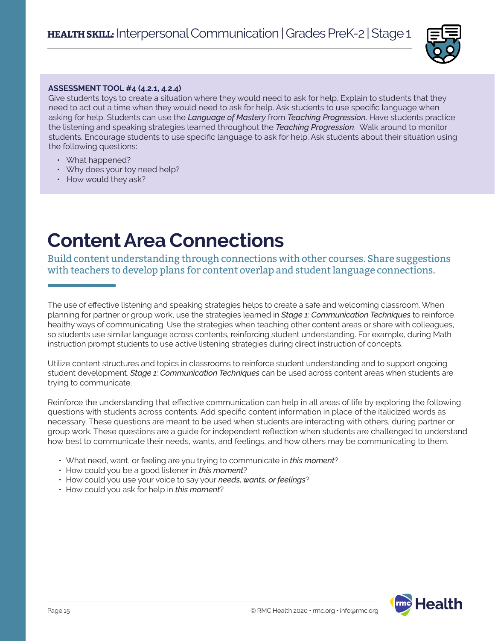

### **ASSESSMENT TOOL #4 (4.2.1, 4.2.4)**

Give students toys to create a situation where they would need to ask for help. Explain to students that they need to act out a time when they would need to ask for help. Ask students to use specific language when asking for help. Students can use the *Language of Mastery* from *Teaching Progression*. Have students practice the listening and speaking strategies learned throughout the *Teaching Progression*. Walk around to monitor students. Encourage students to use specific language to ask for help. Ask students about their situation using the following questions:

- What happened?
- Why does your toy need help?
- How would they ask?

# **Content Area Connections**

Build content understanding through connections with other courses. Share suggestions with teachers to develop plans for content overlap and student language connections.

The use of effective listening and speaking strategies helps to create a safe and welcoming classroom. When planning for partner or group work, use the strategies learned in *Stage 1: Communication Techniques* to reinforce healthy ways of communicating. Use the strategies when teaching other content areas or share with colleagues, so students use similar language across contents, reinforcing student understanding. For example, during Math instruction prompt students to use active listening strategies during direct instruction of concepts.

Utilize content structures and topics in classrooms to reinforce student understanding and to support ongoing student development. *Stage 1: Communication Techniques* can be used across content areas when students are trying to communicate.

Reinforce the understanding that effective communication can help in all areas of life by exploring the following questions with students across contents. Add specific content information in place of the italicized words as necessary. These questions are meant to be used when students are interacting with others, during partner or group work. These questions are a guide for independent reflection when students are challenged to understand how best to communicate their needs, wants, and feelings, and how others may be communicating to them.

- What need, want, or feeling are you trying to communicate in *this moment*?
- How could you be a good listener in *this moment*?
- How could you use your voice to say your *needs, wants, or feelings*?
- How could you ask for help in *this moment*?